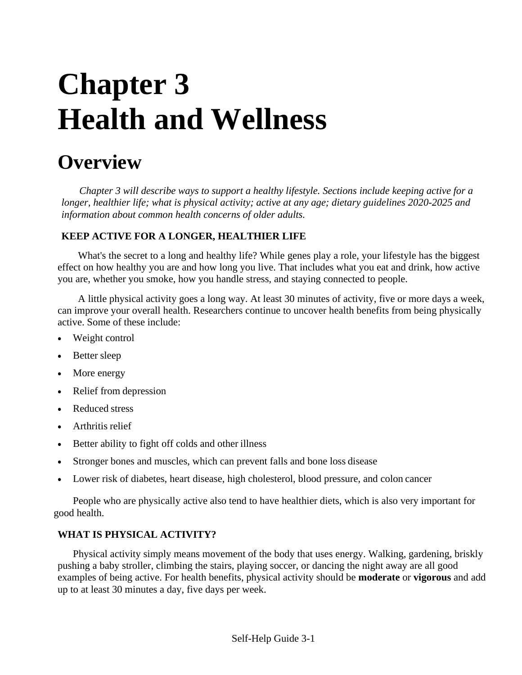# **Chapter 3 Health and Wellness**

# **Overview**

*Chapter 3 will describe ways to support a healthy lifestyle. Sections include keeping active for a longer, healthier life; what is physical activity; active at any age; dietary guidelines 2020-2025 and information about common health concerns of older adults.*

# **KEEP ACTIVE FOR A LONGER, HEALTHIER LIFE**

What's the secret to a long and healthy life? While genes play a role, your lifestyle has the biggest effect on how healthy you are and how long you live. That includes what you eat and drink, how active you are, whether you smoke, how you handle stress, and staying connected to people.

A little physical activity goes a long way. At least 30 minutes of activity, five or more days a week, can improve your overall health. Researchers continue to uncover health benefits from being physically active. Some of these include:

- Weight control
- Better sleep
- More energy
- Relief from depression
- Reduced stress
- Arthritis relief
- Better ability to fight off colds and other illness
- Stronger bones and muscles, which can prevent falls and bone loss disease
- Lower risk of diabetes, heart disease, high cholesterol, blood pressure, and colon cancer

People who are physically active also tend to have healthier diets, which is also very important for good health.

# **WHAT IS PHYSICAL ACTIVITY?**

Physical activity simply means movement of the body that uses energy. Walking, gardening, briskly pushing a baby stroller, climbing the stairs, playing soccer, or dancing the night away are all good examples of being active. For health benefits, physical activity should be **moderate** or **vigorous** and add up to at least 30 minutes a day, five days per week.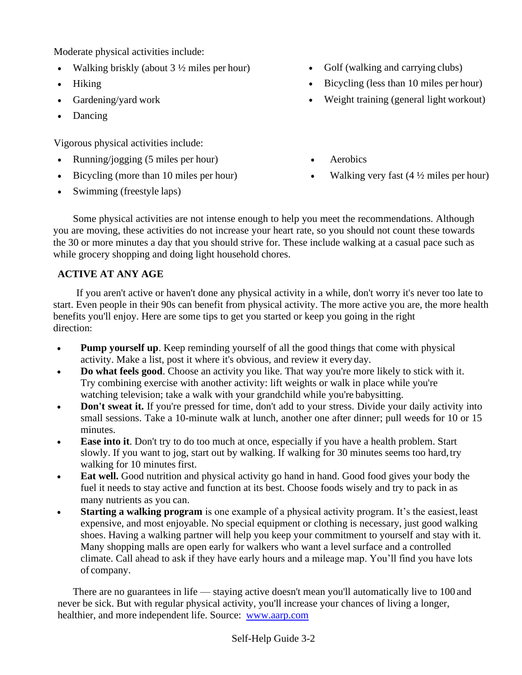Moderate physical activities include:

- Walking briskly (about  $3\frac{1}{2}$  miles per hour)
- Hiking
- Gardening/yard work
- Dancing

Vigorous physical activities include:

- Running/jogging (5 miles per hour)
- Bicycling (more than 10 miles per hour)
- Swimming (freestyle laps)
- Golf (walking and carrying clubs)
- Bicycling (less than 10 miles per hour)
- Weight training (general light workout)
- **Aerobics**
- Walking very fast  $(4 \frac{1}{2})$  miles per hour)

Some physical activities are not intense enough to help you meet the recommendations. Although you are moving, these activities do not increase your heart rate, so you should not count these towards the 30 or more minutes a day that you should strive for. These include walking at a casual pace such as while grocery shopping and doing light household chores.

# **ACTIVE AT ANY AGE**

If you aren't active or haven't done any physical activity in a while, don't worry it's never too late to start. Even people in their 90s can benefit from physical activity. The more active you are, the more health benefits you'll enjoy. Here are some tips to get you started or keep you going in the right direction:

- **Pump yourself up**. Keep reminding yourself of all the good things that come with physical activity. Make a list, post it where it's obvious, and review it every day.
- **Do what feels good**. Choose an activity you like. That way you're more likely to stick with it. Try combining exercise with another activity: lift weights or walk in place while you're watching television; take a walk with your grandchild while you're babysitting.
- **Don't sweat it.** If you're pressed for time, don't add to your stress. Divide your daily activity into small sessions. Take a 10-minute walk at lunch, another one after dinner; pull weeds for 10 or 15 minutes.
- **Ease into it**. Don't try to do too much at once, especially if you have a health problem. Start slowly. If you want to jog, start out by walking. If walking for 30 minutes seems too hard,try walking for 10 minutes first.
- **Eat well.** Good nutrition and physical activity go hand in hand. Good food gives your body the fuel it needs to stay active and function at its best. Choose foods wisely and try to pack in as many nutrients as you can.
- **Starting a walking program** is one example of a physical activity program. It's the easiest, least expensive, and most enjoyable. No special equipment or clothing is necessary, just good walking shoes. Having a walking partner will help you keep your commitment to yourself and stay with it. Many shopping malls are open early for walkers who want a level surface and a controlled climate. Call ahead to ask if they have early hours and a mileage map. You'll find you have lots of company.

There are no guarantees in life — staying active doesn't mean you'll automatically live to 100 and never be sick. But with regular physical activity, you'll increase your chances of living a longer, healthier, and more independent life. Source: [www.aarp.com](http://www.aarp.com/)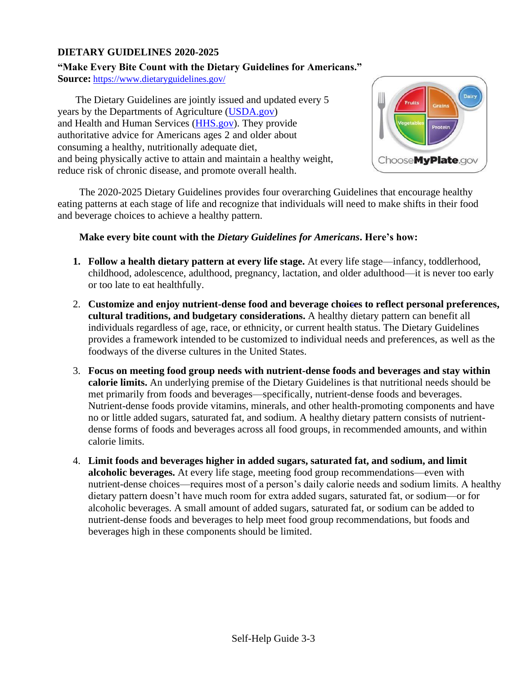# **DIETARY GUIDELINES 2020-2025**

# **"Make Every Bite Count with the Dietary Guidelines for Americans."**

**Source:** <https://www.dietaryguidelines.gov/>

The Dietary Guidelines are jointly issued and updated every 5 years by the Departments of Agriculture [\(USDA.g](http://www.usda.gov/)ov) and Health and Human Services [\(HHS.g](http://www.dhhs.gov/)ov). They provide authoritative advice for Americans ages 2 and older about consuming a healthy, nutritionally adequate diet, and being physically active to attain and maintain a healthy weight, reduce risk of chronic disease, and promote overall health.



 The 2020-2025 Dietary Guidelines provides four overarching Guidelines that encourage healthy eating patterns at each stage of life and recognize that individuals will need to make shifts in their food and beverage choices to achieve a healthy pattern.

# **Make every bite count with the** *Dietary Guidelines for Americans***. Here's how:**

- **1. Follow a health dietary pattern at every life stage.** At every life stage—infancy, toddlerhood, childhood, adolescence, adulthood, pregnancy, lactation, and older adulthood—it is never too early or too late to eat healthfully.
- 2. **Customize and enjoy nutrient-dense food and beverage choices to reflect personal preferences, cultural traditions, and budgetary considerations.** A healthy dietary pattern can benefit all individuals regardless of age, race, or ethnicity, or current health status. The Dietary Guidelines provides a framework intended to be customized to individual needs and preferences, as well as the foodways of the diverse cultures in the United States.
- 3. **Focus on meeting food group needs with nutrient-dense foods and beverages and stay within calorie limits.** An underlying premise of the Dietary Guidelines is that nutritional needs should be met primarily from foods and beverages—specifically, nutrient-dense foods and beverages. Nutrient-dense foods provide vitamins, minerals, and other health-promoting components and have no or little added sugars, saturated fat, and sodium. A healthy dietary pattern consists of nutrientdense forms of foods and beverages across all food groups, in recommended amounts, and within calorie limits.
- 4. **Limit foods and beverages higher in added sugars, saturated fat, and sodium, and limit alcoholic beverages.** At every life stage, meeting food group recommendations—even with nutrient-dense choices—requires most of a person's daily calorie needs and sodium limits. A healthy dietary pattern doesn't have much room for extra added sugars, saturated fat, or sodium—or for alcoholic beverages. A small amount of added sugars, saturated fat, or sodium can be added to nutrient-dense foods and beverages to help meet food group recommendations, but foods and beverages high in these components should be limited.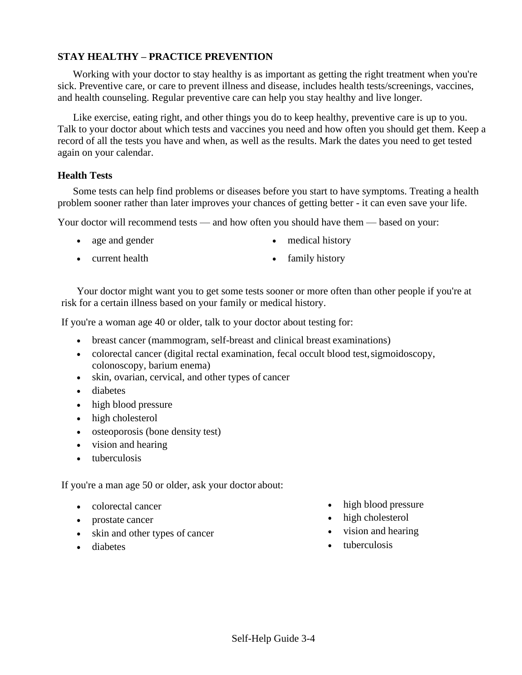# **STAY HEALTHY – PRACTICE PREVENTION**

Working with your doctor to stay healthy is as important as getting the right treatment when you're sick. Preventive care, or care to prevent illness and disease, includes health tests/screenings, vaccines, and health counseling. Regular preventive care can help you stay healthy and live longer.

Like exercise, eating right, and other things you do to keep healthy, preventive care is up to you. Talk to your doctor about which tests and vaccines you need and how often you should get them. Keep a record of all the tests you have and when, as well as the results. Mark the dates you need to get tested again on your calendar.

# **Health Tests**

Some tests can help find problems or diseases before you start to have symptoms. Treating a health problem sooner rather than later improves your chances of getting better - it can even save your life.

Your doctor will recommend tests — and how often you should have them — based on your:

- age and gender
- medical history
- current health
- family history

Your doctor might want you to get some tests sooner or more often than other people if you're at risk for a certain illness based on your family or medical history.

If you're a woman age 40 or older, talk to your doctor about testing for:

- breast cancer (mammogram, self-breast and clinical breast examinations)
- colorectal cancer (digital rectal examination, fecal occult blood test, sigmoidoscopy, colonoscopy, barium enema)
- skin, ovarian, cervical, and other types of cancer
- diabetes
- high blood pressure
- high cholesterol
- osteoporosis (bone density test)
- vision and hearing
- tuberculosis

If you're a man age 50 or older, ask your doctor about:

- colorectal cancer
- prostate cancer
- skin and other types of cancer
- diabetes
- high blood pressure
- high cholesterol
- vision and hearing
- tuberculosis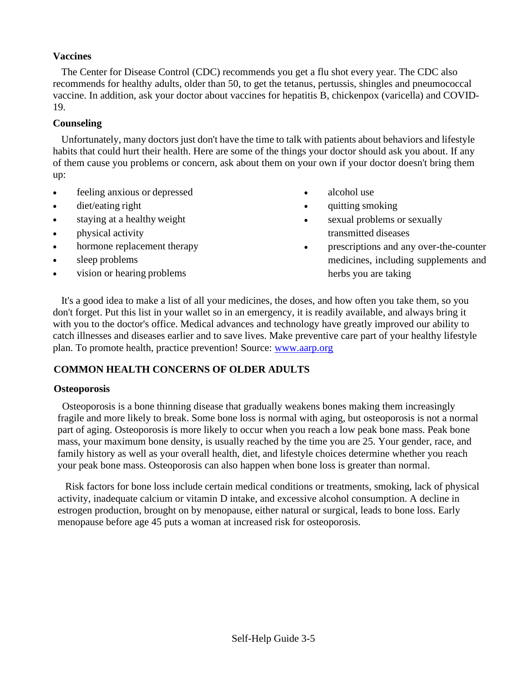# **Vaccines**

The Center for Disease Control (CDC) recommends you get a flu shot every year. The CDC also recommends for healthy adults, older than 50, to get the tetanus, pertussis, shingles and pneumococcal vaccine. In addition, ask your doctor about vaccines for hepatitis B, chickenpox (varicella) and COVID-19.

# **Counseling**

Unfortunately, many doctors just don't have the time to talk with patients about behaviors and lifestyle habits that could hurt their health. Here are some of the things your doctor should ask you about. If any of them cause you problems or concern, ask about them on your own if your doctor doesn't bring them up:

- feeling anxious or depressed
- diet/eating right
- staying at a healthy weight
- physical activity
- hormone replacement therapy
- sleep problems
- vision or hearing problems
- alcohol use
- quitting smoking
- sexual problems or sexually transmitted diseases
- prescriptions and any over-the-counter medicines, including supplements and herbs you are taking

It's a good idea to make a list of all your medicines, the doses, and how often you take them, so you don't forget. Put this list in your wallet so in an emergency, it is readily available, and always bring it with you to the doctor's office. Medical advances and technology have greatly improved our ability to catch illnesses and diseases earlier and to save lives. Make preventive care part of your healthy lifestyle plan. To promote health, practice prevention! Source: [www.aarp.org](http://www.aarp.org/)

#### **COMMON HEALTH CONCERNS OF OLDER ADULTS**

#### **Osteoporosis**

Osteoporosis is a bone thinning disease that gradually weakens bones making them increasingly fragile and more likely to break. Some bone loss is normal with aging, but osteoporosis is not a normal part of aging. Osteoporosis is more likely to occur when you reach a low peak bone mass. Peak bone mass, your maximum bone density, is usually reached by the time you are 25. Your gender, race, and family history as well as your overall health, diet, and lifestyle choices determine whether you reach your peak bone mass. Osteoporosis can also happen when bone loss is greater than normal.

Risk factors for bone loss include certain medical conditions or treatments, smoking, lack of physical activity, inadequate calcium or vitamin D intake, and excessive alcohol consumption. A decline in estrogen production, brought on by menopause, either natural or surgical, leads to bone loss. Early menopause before age 45 puts a woman at increased risk for osteoporosis.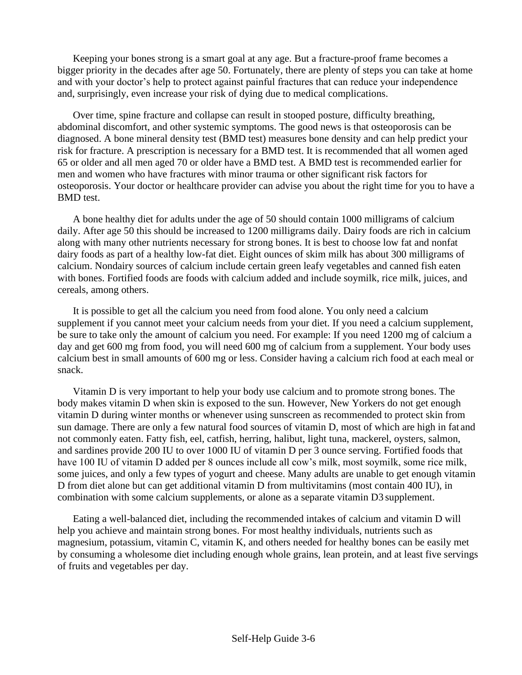Keeping your bones strong is a smart goal at any age. But a fracture-proof frame becomes a bigger priority in the decades after age 50. Fortunately, there are plenty of steps you can take at home and with your doctor's help to protect against painful fractures that can reduce your independence and, surprisingly, even increase your risk of dying due to medical complications.

Over time, spine fracture and collapse can result in stooped posture, difficulty breathing, abdominal discomfort, and other systemic symptoms. The good news is that osteoporosis can be diagnosed. A bone mineral density test (BMD test) measures bone density and can help predict your risk for fracture. A prescription is necessary for a BMD test. It is recommended that all women aged 65 or older and all men aged 70 or older have a BMD test. A BMD test is recommended earlier for men and women who have fractures with minor trauma or other significant risk factors for osteoporosis. Your doctor or healthcare provider can advise you about the right time for you to have a BMD test.

A bone healthy diet for adults under the age of 50 should contain 1000 milligrams of calcium daily. After age 50 this should be increased to 1200 milligrams daily. Dairy foods are rich in calcium along with many other nutrients necessary for strong bones. It is best to choose low fat and nonfat dairy foods as part of a healthy low-fat diet. Eight ounces of skim milk has about 300 milligrams of calcium. Nondairy sources of calcium include certain green leafy vegetables and canned fish eaten with bones. Fortified foods are foods with calcium added and include soymilk, rice milk, juices, and cereals, among others.

It is possible to get all the calcium you need from food alone. You only need a calcium supplement if you cannot meet your calcium needs from your diet. If you need a calcium supplement, be sure to take only the amount of calcium you need. For example: If you need 1200 mg of calcium a day and get 600 mg from food, you will need 600 mg of calcium from a supplement. Your body uses calcium best in small amounts of 600 mg or less. Consider having a calcium rich food at each meal or snack.

Vitamin D is very important to help your body use calcium and to promote strong bones. The body makes vitamin D when skin is exposed to the sun. However, New Yorkers do not get enough vitamin D during winter months or whenever using sunscreen as recommended to protect skin from sun damage. There are only a few natural food sources of vitamin D, most of which are high in fat and not commonly eaten. Fatty fish, eel, catfish, herring, halibut, light tuna, mackerel, oysters, salmon, and sardines provide 200 IU to over 1000 IU of vitamin D per 3 ounce serving. Fortified foods that have 100 IU of vitamin D added per 8 ounces include all cow's milk, most soymilk, some rice milk, some juices, and only a few types of yogurt and cheese. Many adults are unable to get enough vitamin D from diet alone but can get additional vitamin D from multivitamins (most contain 400 IU), in combination with some calcium supplements, or alone as a separate vitamin D3 supplement.

Eating a well-balanced diet, including the recommended intakes of calcium and vitamin D will help you achieve and maintain strong bones. For most healthy individuals, nutrients such as magnesium, potassium, vitamin C, vitamin K, and others needed for healthy bones can be easily met by consuming a wholesome diet including enough whole grains, lean protein, and at least five servings of fruits and vegetables per day.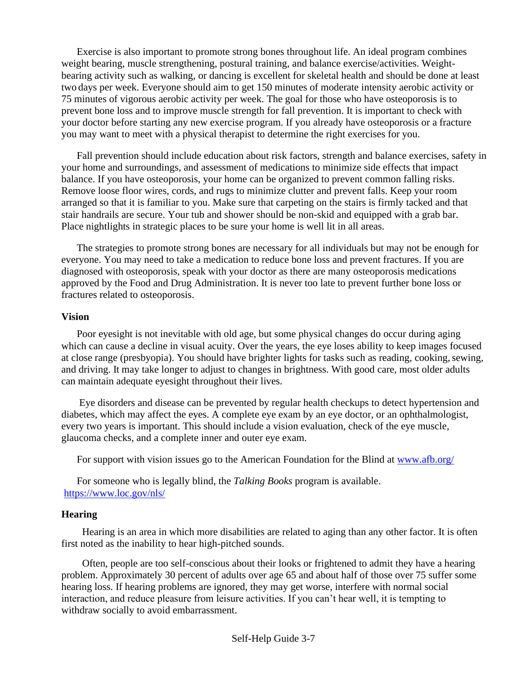Exercise is also important to promote strong bones throughout life. An ideal program combines weight bearing, muscle strengthening, postural training, and balance exercise/activities. Weightbearing activity such as walking, or dancing is excellent for skeletal health and should be done at least two days per week. Everyone should aim to get 150 minutes of moderate intensity aerobic activity or 75 minutes of vigorous aerobic activity per week. The goal for those who have osteoporosis is to prevent bone loss and to improve muscle strength for fall prevention. It is important to check with your doctor before starting any new exercise program. If you already have osteoporosis or a fracture you may want to meet with a physical therapist to determine the right exercises for you.

Fall prevention should include education about risk factors, strength and balance exercises, safety in your home and surroundings, and assessment of medications to minimize side effects that impact balance. If you have osteoporosis, your home can be organized to prevent common falling risks. Remove loose floor wires, cords, and rugs to minimize clutter and prevent falls. Keep your room arranged so that it is familiar to you. Make sure that carpeting on the stairs is firmly tacked and that stair handrails are secure. Your tub and shower should be non-skid and equipped with a grab bar. Place nightlights in strategic places to be sure your home is well lit in all areas.

The strategies to promote strong bones are necessary for all individuals but may not be enough for everyone. You may need to take a medication to reduce bone loss and prevent fractures. If you are diagnosed with osteoporosis, speak with your doctor as there are many osteoporosis medications approved by the Food and Drug Administration. It is never too late to prevent further bone loss or fractures related to osteoporosis.

#### **Vision**

Poor eyesight is not inevitable with old age, but some physical changes do occur during aging which can cause a decline in visual acuity. Over the years, the eye loses ability to keep images focused at close range (presbyopia). You should have brighter lights for tasks such as reading, cooking, sewing, and driving. It may take longer to adjust to changes in brightness. With good care, most older adults can maintain adequate eyesight throughout their lives.

Eye disorders and disease can be prevented by regular health checkups to detect hypertension and diabetes, which may affect the eyes. A complete eye exam by an eye doctor, or an ophthalmologist, every two years is important. This should include a vision evaluation, check of the eye muscle, glaucoma checks, and a complete inner and outer eye exam.

For support with vision issues go to the American Foundation for the Blind at [www.afb.org/](http://www.afb.org/)

For someone who is legally blind, the *Talking Books* program is available. <https://www.loc.gov/nls/>

# **Hearing**

Hearing is an area in which more disabilities are related to aging than any other factor. It is often first noted as the inability to hear high-pitched sounds.

Often, people are too self-conscious about their looks or frightened to admit they have a hearing problem. Approximately 30 percent of adults over age 65 and about half of those over 75 suffer some hearing loss. If hearing problems are ignored, they may get worse, interfere with normal social interaction, and reduce pleasure from leisure activities. If you can't hear well, it is tempting to withdraw socially to avoid embarrassment.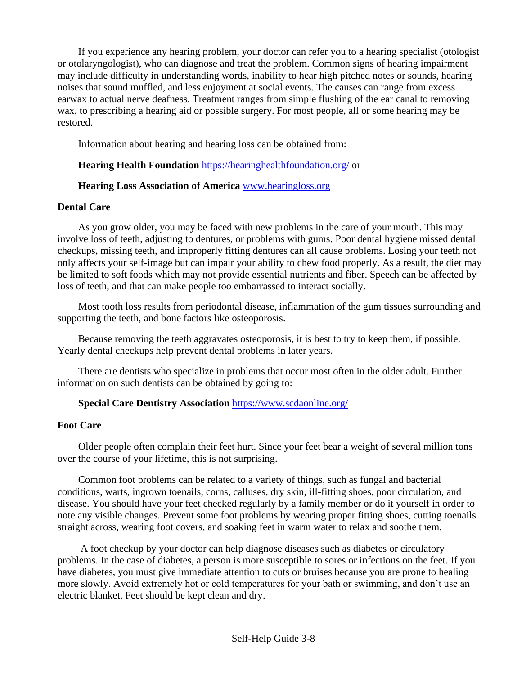If you experience any hearing problem, your doctor can refer you to a hearing specialist (otologist or otolaryngologist), who can diagnose and treat the problem. Common signs of hearing impairment may include difficulty in understanding words, inability to hear high pitched notes or sounds, hearing noises that sound muffled, and less enjoyment at social events. The causes can range from excess earwax to actual nerve deafness. Treatment ranges from simple flushing of the ear canal to removing wax, to prescribing a hearing aid or possible surgery. For most people, all or some hearing may be restored.

Information about hearing and hearing loss can be obtained from:

# **Hearing Health Foundation** <https://hearinghealthfoundation.org/> or

## **Hearing Loss Association of America** [www.hearingloss.org](http://www.hearingloss.org/)

## **Dental Care**

As you grow older, you may be faced with new problems in the care of your mouth. This may involve loss of teeth, adjusting to dentures, or problems with gums. Poor dental hygiene missed dental checkups, missing teeth, and improperly fitting dentures can all cause problems. Losing your teeth not only affects your self-image but can impair your ability to chew food properly. As a result, the diet may be limited to soft foods which may not provide essential nutrients and fiber. Speech can be affected by loss of teeth, and that can make people too embarrassed to interact socially.

Most tooth loss results from periodontal disease, inflammation of the gum tissues surrounding and supporting the teeth, and bone factors like osteoporosis.

Because removing the teeth aggravates osteoporosis, it is best to try to keep them, if possible. Yearly dental checkups help prevent dental problems in later years.

There are dentists who specialize in problems that occur most often in the older adult. Further information on such dentists can be obtained by going to:

# **Special Care Dentistry Association** <https://www.scdaonline.org/>

#### **Foot Care**

Older people often complain their feet hurt. Since your feet bear a weight of several million tons over the course of your lifetime, this is not surprising.

Common foot problems can be related to a variety of things, such as fungal and bacterial conditions, warts, ingrown toenails, corns, calluses, dry skin, ill-fitting shoes, poor circulation, and disease. You should have your feet checked regularly by a family member or do it yourself in order to note any visible changes. Prevent some foot problems by wearing proper fitting shoes, cutting toenails straight across, wearing foot covers, and soaking feet in warm water to relax and soothe them.

A foot checkup by your doctor can help diagnose diseases such as diabetes or circulatory problems. In the case of diabetes, a person is more susceptible to sores or infections on the feet. If you have diabetes, you must give immediate attention to cuts or bruises because you are prone to healing more slowly. Avoid extremely hot or cold temperatures for your bath or swimming, and don't use an electric blanket. Feet should be kept clean and dry.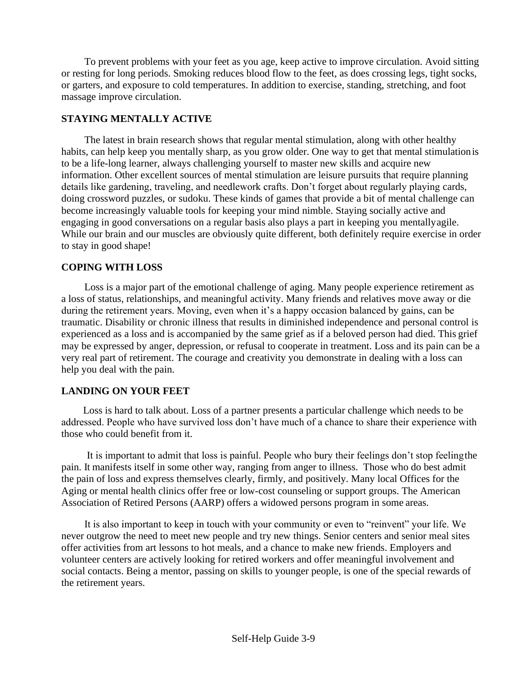To prevent problems with your feet as you age, keep active to improve circulation. Avoid sitting or resting for long periods. Smoking reduces blood flow to the feet, as does crossing legs, tight socks, or garters, and exposure to cold temperatures. In addition to exercise, standing, stretching, and foot massage improve circulation.

# **STAYING MENTALLY ACTIVE**

The latest in brain research shows that regular mental stimulation, along with other healthy habits, can help keep you mentally sharp, as you grow older. One way to get that mental stimulationis to be a life-long learner, always challenging yourself to master new skills and acquire new information. Other excellent sources of mental stimulation are leisure pursuits that require planning details like gardening, traveling, and needlework crafts. Don't forget about regularly playing cards, doing crossword puzzles, or sudoku. These kinds of games that provide a bit of mental challenge can become increasingly valuable tools for keeping your mind nimble. Staying socially active and engaging in good conversations on a regular basis also plays a part in keeping you mentallyagile. While our brain and our muscles are obviously quite different, both definitely require exercise in order to stay in good shape!

## **COPING WITH LOSS**

Loss is a major part of the emotional challenge of aging. Many people experience retirement as a loss of status, relationships, and meaningful activity. Many friends and relatives move away or die during the retirement years. Moving, even when it's a happy occasion balanced by gains, can be traumatic. Disability or chronic illness that results in diminished independence and personal control is experienced as a loss and is accompanied by the same grief as if a beloved person had died. This grief may be expressed by anger, depression, or refusal to cooperate in treatment. Loss and its pain can be a very real part of retirement. The courage and creativity you demonstrate in dealing with a loss can help you deal with the pain.

# **LANDING ON YOUR FEET**

Loss is hard to talk about. Loss of a partner presents a particular challenge which needs to be addressed. People who have survived loss don't have much of a chance to share their experience with those who could benefit from it.

 It is important to admit that loss is painful. People who bury their feelings don't stop feelingthe pain. It manifests itself in some other way, ranging from anger to illness. Those who do best admit the pain of loss and express themselves clearly, firmly, and positively. Many local Offices for the Aging or mental health clinics offer free or low-cost counseling or support groups. The American Association of Retired Persons (AARP) offers a widowed persons program in some areas.

It is also important to keep in touch with your community or even to "reinvent" your life. We never outgrow the need to meet new people and try new things. Senior centers and senior meal sites offer activities from art lessons to hot meals, and a chance to make new friends. Employers and volunteer centers are actively looking for retired workers and offer meaningful involvement and social contacts. Being a mentor, passing on skills to younger people, is one of the special rewards of the retirement years.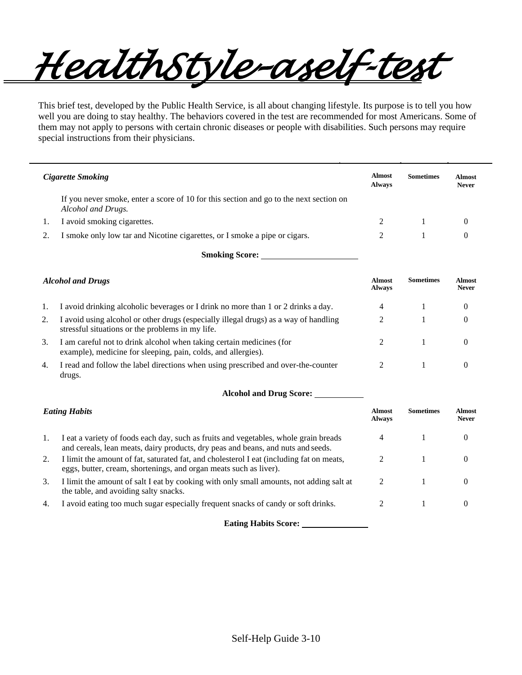*HealthStyle–a self-test* 

This brief test, developed by the Public Health Service, is all about changing lifestyle. Its purpose is to tell you how well you are doing to stay healthy. The behaviors covered in the test are recommended for most Americans. Some of them may not apply to persons with certain chronic diseases or people with disabilities. Such persons may require special instructions from their physicians.

| Cigarette Smoking                                                                                            | Almost<br><b>Always</b> | <b>Sometimes</b> | Almost<br><b>Never</b> |
|--------------------------------------------------------------------------------------------------------------|-------------------------|------------------|------------------------|
| If you never smoke, enter a score of 10 for this section and go to the next section on<br>Alcohol and Drugs. |                         |                  |                        |
| I avoid smoking cigarettes.                                                                                  |                         |                  |                        |
| I smoke only low tar and Nicotine cigarettes, or I smoke a pipe or cigars.                                   |                         |                  |                        |

**Smoking Score:** 

| <b>Alcohol and Drugs</b> |                                                                                                                                          | Almost<br><b>Always</b> | <b>Sometimes</b> | <b>Almost</b><br><b>Never</b> |
|--------------------------|------------------------------------------------------------------------------------------------------------------------------------------|-------------------------|------------------|-------------------------------|
| 1.                       | I avoid drinking alcoholic beverages or I drink no more than 1 or 2 drinks a day.                                                        | 4                       |                  | $\theta$                      |
| 2.                       | I avoid using alcohol or other drugs (especially illegal drugs) as a way of handling<br>stressful situations or the problems in my life. |                         |                  | $\theta$                      |
| 3.                       | I am careful not to drink alcohol when taking certain medicines (for<br>example), medicine for sleeping, pain, colds, and allergies).    |                         |                  |                               |
| 4.                       | I read and follow the label directions when using prescribed and over-the-counter<br>drugs.                                              |                         |                  | $\theta$                      |

| <b>Alcohol and Drug Score:</b> |  |  |
|--------------------------------|--|--|
|                                |  |  |

| <b>Eating Habits</b> |                                                                                                                                                                          | Almost<br><b>Always</b> | <b>Sometimes</b> | <b>Almost</b><br><b>Never</b> |
|----------------------|--------------------------------------------------------------------------------------------------------------------------------------------------------------------------|-------------------------|------------------|-------------------------------|
| 1.                   | I eat a variety of foods each day, such as fruits and vegetables, whole grain breads<br>and cereals, lean meats, dairy products, dry peas and beans, and nuts and seeds. |                         |                  |                               |
| 2.                   | I limit the amount of fat, saturated fat, and cholesterol I eat (including fat on meats,<br>eggs, butter, cream, shortenings, and organ meats such as liver).            |                         |                  | $\theta$                      |
| 3.                   | I limit the amount of salt I eat by cooking with only small amounts, not adding salt at<br>the table, and avoiding salty snacks.                                         | 2                       |                  |                               |
| 4.                   | I avoid eating too much sugar especially frequent snacks of candy or soft drinks.                                                                                        |                         |                  | $\theta$                      |

**Eating Habits Score:**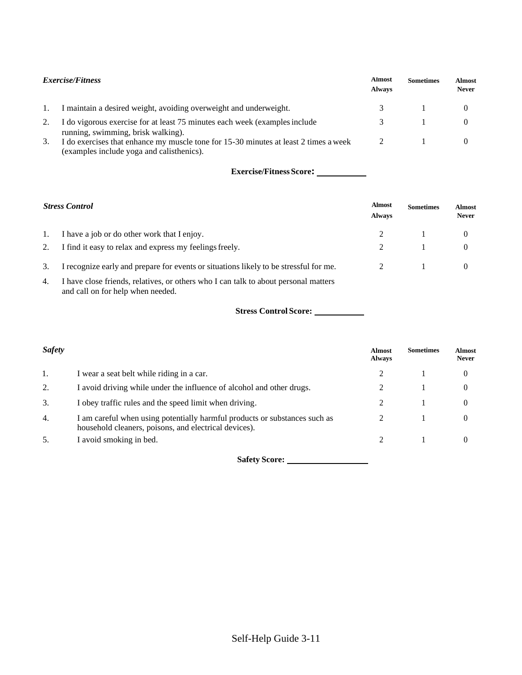| <i>Exercise/Fitness</i> |                                                                                                                                   | <b>Almost</b><br><b>Always</b> | <b>Sometimes</b> | <b>Almost</b><br><b>Never</b> |
|-------------------------|-----------------------------------------------------------------------------------------------------------------------------------|--------------------------------|------------------|-------------------------------|
|                         | I maintain a desired weight, avoiding overweight and underweight.                                                                 |                                |                  |                               |
|                         | I do vigorous exercise for at least 75 minutes each week (examples include<br>running, swimming, brisk walking).                  |                                |                  |                               |
| 3.                      | I do exercises that enhance my muscle tone for 15-30 minutes at least 2 times a week<br>(examples include yoga and calisthenics). |                                |                  |                               |

| <b>Stress Control</b> |                                                                                                                          | <b>Almost</b><br><b>Always</b> | <b>Sometimes</b> | <b>Almost</b><br><b>Never</b> |
|-----------------------|--------------------------------------------------------------------------------------------------------------------------|--------------------------------|------------------|-------------------------------|
| 1.                    | I have a job or do other work that I enjoy.                                                                              |                                |                  |                               |
| 2.                    | I find it easy to relax and express my feelings freely.                                                                  |                                |                  |                               |
| 3.                    | I recognize early and prepare for events or situations likely to be stressful for me.                                    |                                |                  |                               |
| 4.                    | I have close friends, relatives, or others who I can talk to about personal matters<br>and call on for help when needed. |                                |                  |                               |

**Stress Control Score:** 

| <b>Safety</b> |                                                                                                                                     | <b>Almost</b><br><b>Always</b> | <b>Sometimes</b> | <b>Almost</b><br><b>Never</b> |
|---------------|-------------------------------------------------------------------------------------------------------------------------------------|--------------------------------|------------------|-------------------------------|
| 1.            | I wear a seat belt while riding in a car.                                                                                           |                                |                  | $\theta$                      |
| 2.            | I avoid driving while under the influence of alcohol and other drugs.                                                               |                                |                  | $\theta$                      |
| 3.            | I obey traffic rules and the speed limit when driving.                                                                              |                                |                  | $\theta$                      |
| 4.            | I am careful when using potentially harmful products or substances such as<br>household cleaners, poisons, and electrical devices). |                                |                  | $\theta$                      |
| 5.            | I avoid smoking in bed.                                                                                                             |                                |                  | $\theta$                      |

**Safety Score:**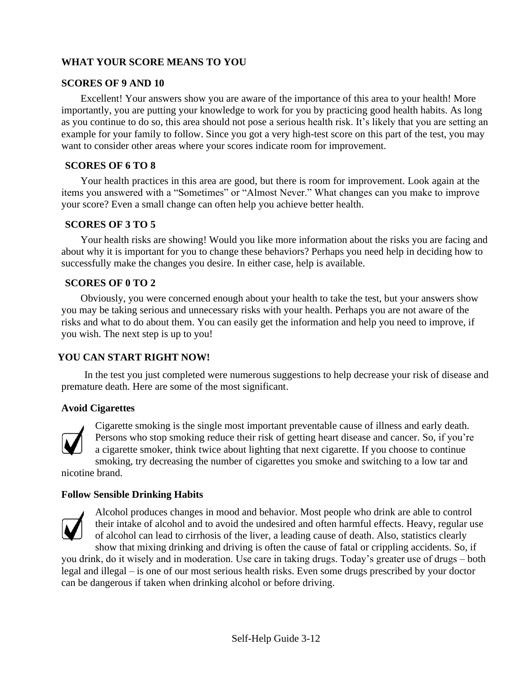# **WHAT YOUR SCORE MEANS TO YOU**

#### **SCORES OF 9 AND 10**

Excellent! Your answers show you are aware of the importance of this area to your health! More importantly, you are putting your knowledge to work for you by practicing good health habits. As long as you continue to do so, this area should not pose a serious health risk. It's likely that you are setting an example for your family to follow. Since you got a very high-test score on this part of the test, you may want to consider other areas where your scores indicate room for improvement.

#### **SCORES OF 6 TO 8**

Your health practices in this area are good, but there is room for improvement. Look again at the items you answered with a "Sometimes" or "Almost Never." What changes can you make to improve your score? Even a small change can often help you achieve better health.

## **SCORES OF 3 TO 5**

Your health risks are showing! Would you like more information about the risks you are facing and about why it is important for you to change these behaviors? Perhaps you need help in deciding how to successfully make the changes you desire. In either case, help is available.

## **SCORES OF 0 TO 2**

Obviously, you were concerned enough about your health to take the test, but your answers show you may be taking serious and unnecessary risks with your health. Perhaps you are not aware of the risks and what to do about them. You can easily get the information and help you need to improve, if you wish. The next step is up to you!

# **YOU CAN START RIGHT NOW!**

In the test you just completed were numerous suggestions to help decrease your risk of disease and premature death. Here are some of the most significant.

#### **Avoid Cigarettes**



Cigarette smoking is the single most important preventable cause of illness and early death. Persons who stop smoking reduce their risk of getting heart disease and cancer. So, if you're a cigarette smoker, think twice about lighting that next cigarette. If you choose to continue smoking, try decreasing the number of cigarettes you smoke and switching to a low tar and

nicotine brand.

#### **Follow Sensible Drinking Habits**



Alcohol produces changes in mood and behavior. Most people who drink are able to control their intake of alcohol and to avoid the undesired and often harmful effects. Heavy, regular use of alcohol can lead to cirrhosis of the liver, a leading cause of death. Also, statistics clearly

show that mixing drinking and driving is often the cause of fatal or crippling accidents. So, if you drink, do it wisely and in moderation. Use care in taking drugs. Today's greater use of drugs – both legal and illegal – is one of our most serious health risks. Even some drugs prescribed by your doctor can be dangerous if taken when drinking alcohol or before driving.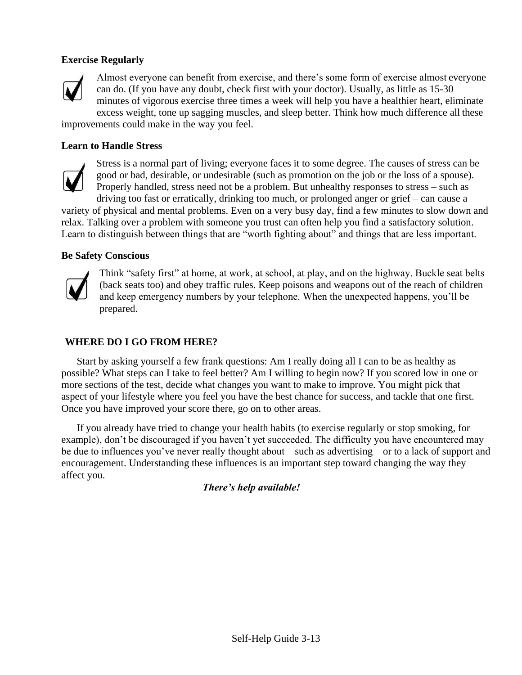# **Exercise Regularly**



Almost everyone can benefit from exercise, and there's some form of exercise almost everyone can do. (If you have any doubt, check first with your doctor). Usually, as little as 15-30 minutes of vigorous exercise three times a week will help you have a healthier heart, eliminate excess weight, tone up sagging muscles, and sleep better. Think how much difference all these

improvements could make in the way you feel.

#### **Learn to Handle Stress**



Stress is a normal part of living; everyone faces it to some degree. The causes of stress can be good or bad, desirable, or undesirable (such as promotion on the job or the loss of a spouse). Properly handled, stress need not be a problem. But unhealthy responses to stress – such as

driving too fast or erratically, drinking too much, or prolonged anger or grief – can cause a variety of physical and mental problems. Even on a very busy day, find a few minutes to slow down and relax. Talking over a problem with someone you trust can often help you find a satisfactory solution. Learn to distinguish between things that are "worth fighting about" and things that are less important.

#### **Be Safety Conscious**



Think "safety first" at home, at work, at school, at play, and on the highway. Buckle seat belts (back seats too) and obey traffic rules. Keep poisons and weapons out of the reach of children and keep emergency numbers by your telephone. When the unexpected happens, you'll be prepared.

#### **WHERE DO I GO FROM HERE?**

Start by asking yourself a few frank questions: Am I really doing all I can to be as healthy as possible? What steps can I take to feel better? Am I willing to begin now? If you scored low in one or more sections of the test, decide what changes you want to make to improve. You might pick that aspect of your lifestyle where you feel you have the best chance for success, and tackle that one first. Once you have improved your score there, go on to other areas.

If you already have tried to change your health habits (to exercise regularly or stop smoking, for example), don't be discouraged if you haven't yet succeeded. The difficulty you have encountered may be due to influences you've never really thought about – such as advertising – or to a lack of support and encouragement. Understanding these influences is an important step toward changing the way they affect you.

*There's help available!*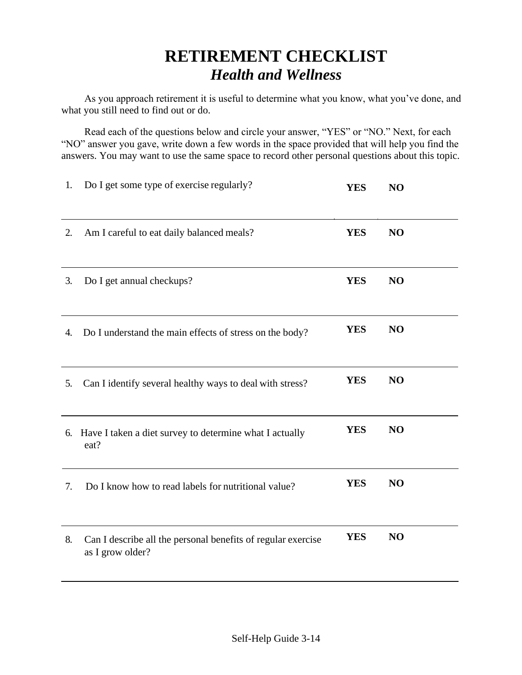# **RETIREMENT CHECKLIST**  *Health and Wellness*

As you approach retirement it is useful to determine what you know, what you've done, and what you still need to find out or do.

Read each of the questions below and circle your answer, "YES" or "NO." Next, for each "NO" answer you gave, write down a few words in the space provided that will help you find the answers. You may want to use the same space to record other personal questions about this topic.

| 1. | Do I get some type of exercise regularly?                                        | <b>YES</b> | NO |  |
|----|----------------------------------------------------------------------------------|------------|----|--|
| 2. | Am I careful to eat daily balanced meals?                                        | <b>YES</b> | NO |  |
| 3. | Do I get annual checkups?                                                        | <b>YES</b> | NO |  |
| 4. | Do I understand the main effects of stress on the body?                          | <b>YES</b> | NO |  |
| 5. | Can I identify several healthy ways to deal with stress?                         | <b>YES</b> | NO |  |
|    | 6. Have I taken a diet survey to determine what I actually<br>eat?               | <b>YES</b> | NO |  |
| 7. | Do I know how to read labels for nutritional value?                              | <b>YES</b> | NO |  |
| 8. | Can I describe all the personal benefits of regular exercise<br>as I grow older? | <b>YES</b> | NO |  |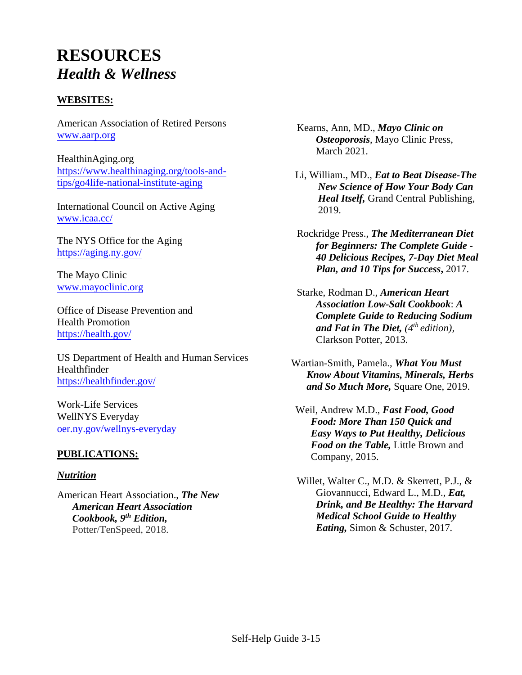# **RESOURCES**  *Health & Wellness*

# **WEBSITES:**

American Association of Retired Persons [www.aarp.org](http://www.aarp.org/)

HealthinAging.org [https://www.healthinaging.org/tools-and](https://www.healthinaging.org/tools-and-tips/go4life-national-institute-aging)[tips/go4life-national-institute-aging](https://www.healthinaging.org/tools-and-tips/go4life-national-institute-aging)

International Council on Active Aging [www.icaa.cc/](http://www.icaa.cc/)

The NYS Office for the Aging <https://aging.ny.gov/>

The Mayo Clinic [www.mayoclinic.org](http://www.mayoclinic.org/)

Office of Disease Prevention and Health Promotion <https://health.gov/>

US Department of Health and Human Services Healthfinder <https://healthfinder.gov/>

Work-Life Services WellNYS Everyday [oer.ny.gov/wellnys-everyday](https://goer.ny.gov/wellnys-everyday)

# **PUBLICATIONS:**

#### *Nutrition*

American Heart Association., *The New American Heart Association Cookbook, 9 th Edition,*  Potter/TenSpeed, 2018.

Kearns, Ann, MD., *Mayo Clinic on Osteoporosis*, Mayo Clinic Press, March 2021.

Li, William., MD., *Eat to Beat Disease-The New Science of How Your Body Can Heal Itself,* Grand Central Publishing, 2019.

Rockridge Press., *The Mediterranean Diet for Beginners: The Complete Guide - 40 Delicious Recipes, 7-Day Diet Meal Plan, and 10 Tips for Success***,** 2017.

Starke, Rodman D., *American Heart Association Low-Salt Cookbook*: *A Complete Guide to Reducing Sodium and Fat in The Diet, (4th edition),*  Clarkson Potter, 2013.

Wartian-Smith, Pamela., *What You Must Know About Vitamins, Minerals, Herbs and So Much More,* Square One, 2019.

Weil, Andrew M.D., *Fast Food, Good Food: More Than 150 Quick and Easy Ways to Put Healthy, Delicious Food on the Table,* Little Brown and Company, 2015.

Willet, Walter C., M.D. & Skerrett, P.J., & Giovannucci, Edward L., M.D., *Eat, Drink, and Be Healthy: The Harvard Medical School Guide to Healthy Eating,* Simon & Schuster, 2017*.*